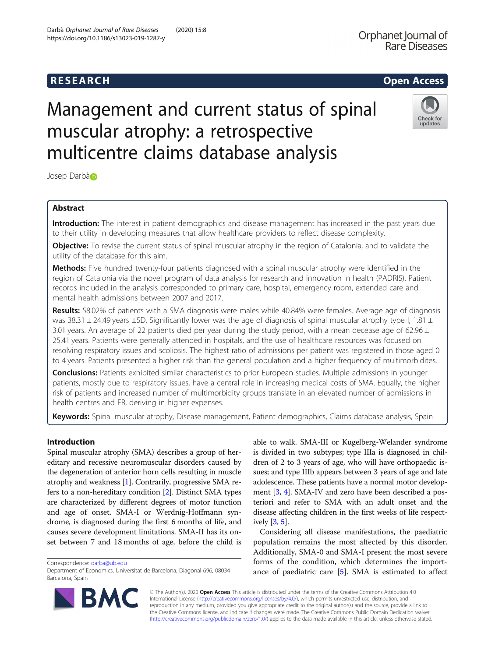# **RESEARCH CHILD CONTROL** CONTROL CONTROL CONTROL CONTROL CONTROL CONTROL CONTROL CONTROL CONTROL CONTROL CONTROL CONTROL CONTROL CONTROL CONTROL CONTROL CONTROL CONTROL CONTROL CONTROL CONTROL CONTROL CONTROL CONTROL CONTR

# Management and current status of spinal muscular atrophy: a retrospective multicentre claims database analysis

Josep Darb[à](http://orcid.org/0000-0003-2371-0999)

# Abstract

Introduction: The interest in patient demographics and disease management has increased in the past years due to their utility in developing measures that allow healthcare providers to reflect disease complexity.

**Objective:** To revise the current status of spinal muscular atrophy in the region of Catalonia, and to validate the utility of the database for this aim.

Methods: Five hundred twenty-four patients diagnosed with a spinal muscular atrophy were identified in the region of Catalonia via the novel program of data analysis for research and innovation in health (PADRIS). Patient records included in the analysis corresponded to primary care, hospital, emergency room, extended care and mental health admissions between 2007 and 2017.

Results: 58.02% of patients with a SMA diagnosis were males while 40.84% were females. Average age of diagnosis was 38.31  $\pm$  24.49 years  $\pm$ SD. Significantly lower was the age of diagnosis of spinal muscular atrophy type I, 1.81  $\pm$ 3.01 years. An average of 22 patients died per year during the study period, with a mean decease age of 62.96  $\pm$ 25.41 years. Patients were generally attended in hospitals, and the use of healthcare resources was focused on resolving respiratory issues and scoliosis. The highest ratio of admissions per patient was registered in those aged 0 to 4 years. Patients presented a higher risk than the general population and a higher frequency of multimorbidites.

Conclusions: Patients exhibited similar characteristics to prior European studies. Multiple admissions in younger patients, mostly due to respiratory issues, have a central role in increasing medical costs of SMA. Equally, the higher risk of patients and increased number of multimorbidity groups translate in an elevated number of admissions in health centres and ER, deriving in higher expenses.

Keywords: Spinal muscular atrophy, Disease management, Patient demographics, Claims database analysis, Spain

# Introduction

Spinal muscular atrophy (SMA) describes a group of hereditary and recessive neuromuscular disorders caused by the degeneration of anterior horn cells resulting in muscle atrophy and weakness [\[1](#page-5-0)]. Contrarily, progressive SMA refers to a non-hereditary condition [[2\]](#page-5-0). Distinct SMA types are characterized by different degrees of motor function and age of onset. SMA-I or Werdnig-Hoffmann syndrome, is diagnosed during the first 6 months of life, and causes severe development limitations. SMA-II has its onset between 7 and 18 months of age, before the child is

Correspondence: [darba@ub.edu](mailto:darba@ub.edu)

© The Author(s). 2020 **Open Access** This article is distributed under the terms of the Creative Commons Attribution 4.0

International License [\(http://creativecommons.org/licenses/by/4.0/](http://creativecommons.org/licenses/by/4.0/)), which permits unrestricted use, distribution, and reproduction in any medium, provided you give appropriate credit to the original author(s) and the source, provide a link to the Creative Commons license, and indicate if changes were made. The Creative Commons Public Domain Dedication waiver [\(http://creativecommons.org/publicdomain/zero/1.0/](http://creativecommons.org/publicdomain/zero/1.0/)) applies to the data made available in this article, unless otherwise stated.

able to walk. SMA-III or Kugelberg-Welander syndrome is divided in two subtypes; type IIIa is diagnosed in children of 2 to 3 years of age, who will have orthopaedic issues; and type IIIb appears between 3 years of age and late adolescence. These patients have a normal motor development [[3](#page-5-0), [4](#page-5-0)]. SMA-IV and zero have been described a posteriori and refer to SMA with an adult onset and the disease affecting children in the first weeks of life respectively [\[3](#page-5-0), [5\]](#page-5-0).

Considering all disease manifestations, the paediatric population remains the most affected by this disorder. Additionally, SMA-0 and SMA-I present the most severe forms of the condition, which determines the importance of paediatric care [\[5](#page-5-0)]. SMA is estimated to affect





Department of Economics, Universitat de Barcelona, Diagonal 696, 08034 Barcelona, Spain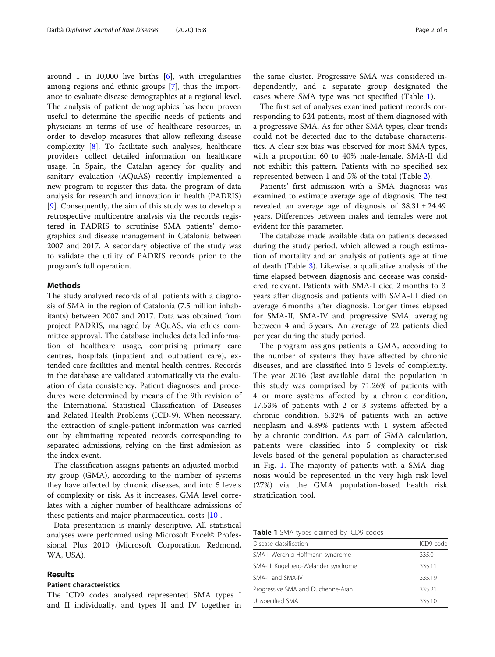around 1 in 10,000 live births  $[6]$  $[6]$ , with irregularities among regions and ethnic groups [\[7\]](#page-5-0), thus the importance to evaluate disease demographics at a regional level. The analysis of patient demographics has been proven useful to determine the specific needs of patients and physicians in terms of use of healthcare resources, in order to develop measures that allow reflexing disease complexity [\[8](#page-5-0)]. To facilitate such analyses, healthcare providers collect detailed information on healthcare usage. In Spain, the Catalan agency for quality and sanitary evaluation (AQuAS) recently implemented a new program to register this data, the program of data analysis for research and innovation in health (PADRIS) [[9\]](#page-5-0). Consequently, the aim of this study was to develop a retrospective multicentre analysis via the records registered in PADRIS to scrutinise SMA patients' demographics and disease management in Catalonia between 2007 and 2017. A secondary objective of the study was to validate the utility of PADRIS records prior to the program's full operation.

# Methods

The study analysed records of all patients with a diagnosis of SMA in the region of Catalonia (7.5 million inhabitants) between 2007 and 2017. Data was obtained from project PADRIS, managed by AQuAS, via ethics committee approval. The database includes detailed information of healthcare usage, comprising primary care centres, hospitals (inpatient and outpatient care), extended care facilities and mental health centres. Records in the database are validated automatically via the evaluation of data consistency. Patient diagnoses and procedures were determined by means of the 9th revision of the International Statistical Classification of Diseases and Related Health Problems (ICD-9). When necessary, the extraction of single-patient information was carried out by eliminating repeated records corresponding to separated admissions, relying on the first admission as the index event.

The classification assigns patients an adjusted morbidity group (GMA), according to the number of systems they have affected by chronic diseases, and into 5 levels of complexity or risk. As it increases, GMA level correlates with a higher number of healthcare admissions of these patients and major pharmaceutical costs [\[10\]](#page-5-0).

Data presentation is mainly descriptive. All statistical analyses were performed using Microsoft Excel© Professional Plus 2010 (Microsoft Corporation, Redmond, WA, USA).

# Results

# Patient characteristics

The ICD9 codes analysed represented SMA types I and II individually, and types II and IV together in

the same cluster. Progressive SMA was considered independently, and a separate group designated the cases where SMA type was not specified (Table 1).

The first set of analyses examined patient records corresponding to 524 patients, most of them diagnosed with a progressive SMA. As for other SMA types, clear trends could not be detected due to the database characteristics. A clear sex bias was observed for most SMA types, with a proportion 60 to 40% male-female. SMA-II did not exhibit this pattern. Patients with no specified sex represented between 1 and 5% of the total (Table [2\)](#page-2-0).

Patients' first admission with a SMA diagnosis was examined to estimate average age of diagnosis. The test revealed an average age of diagnosis of  $38.31 \pm 24.49$ years. Differences between males and females were not evident for this parameter.

The database made available data on patients deceased during the study period, which allowed a rough estimation of mortality and an analysis of patients age at time of death (Table [3\)](#page-2-0). Likewise, a qualitative analysis of the time elapsed between diagnosis and decease was considered relevant. Patients with SMA-I died 2 months to 3 years after diagnosis and patients with SMA-III died on average 6 months after diagnosis. Longer times elapsed for SMA-II, SMA-IV and progressive SMA, averaging between 4 and 5 years. An average of 22 patients died per year during the study period.

The program assigns patients a GMA, according to the number of systems they have affected by chronic diseases, and are classified into 5 levels of complexity. The year 2016 (last available data) the population in this study was comprised by 71.26% of patients with 4 or more systems affected by a chronic condition, 17.53% of patients with 2 or 3 systems affected by a chronic condition, 6.32% of patients with an active neoplasm and 4.89% patients with 1 system affected by a chronic condition. As part of GMA calculation, patients were classified into 5 complexity or risk levels based of the general population as characterised in Fig. [1](#page-3-0). The majority of patients with a SMA diagnosis would be represented in the very high risk level (27%) via the GMA population-based health risk stratification tool.

**Table 1** SMA types claimed by ICD9 codes

| Disease classification               | ICD9 code |
|--------------------------------------|-----------|
| SMA-I. Werdnig-Hoffmann syndrome     | 335.0     |
| SMA-III. Kugelberg-Welander syndrome | 335.11    |
| SMA-II and SMA-IV                    | 335.19    |
| Progressive SMA and Duchenne-Aran    | 335.21    |
| Unspecified SMA                      | 335.10    |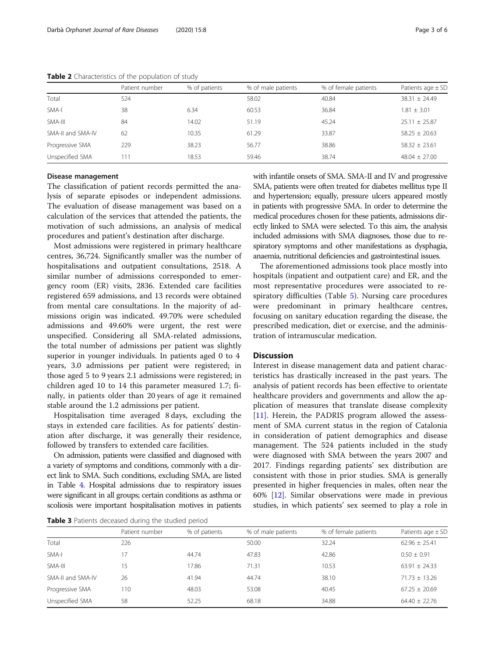|                   | Patient number | % of patients | % of male patients | % of female patients | Patients age $\pm$ SD |
|-------------------|----------------|---------------|--------------------|----------------------|-----------------------|
| Total             | 524            |               | 58.02              | 40.84                | $38.31 \pm 24.49$     |
| SMA-I             | 38             | 6.34          | 60.53              | 36.84                | $1.81 \pm 3.01$       |
| SMA-III           | 84             | 14.02         | 51.19              | 45.24                | $25.11 \pm 25.87$     |
| SMA-II and SMA-IV | 62             | 10.35         | 61.29              | 33.87                | $58.25 \pm 20.63$     |
| Progressive SMA   | 229            | 38.23         | 56.77              | 38.86                | $58.32 \pm 23.61$     |
| Unspecified SMA   | 1 <sup>1</sup> | 18.53         | 59.46              | 38.74                | $48.04 \pm 27.00$     |

<span id="page-2-0"></span>Table 2 Characteristics of the population of study

## Disease management

The classification of patient records permitted the analysis of separate episodes or independent admissions. The evaluation of disease management was based on a calculation of the services that attended the patients, the motivation of such admissions, an analysis of medical procedures and patient's destination after discharge.

Most admissions were registered in primary healthcare centres, 36,724. Significantly smaller was the number of hospitalisations and outpatient consultations, 2518. A similar number of admissions corresponded to emergency room (ER) visits, 2836. Extended care facilities registered 659 admissions, and 13 records were obtained from mental care consultations. In the majority of admissions origin was indicated. 49.70% were scheduled admissions and 49.60% were urgent, the rest were unspecified. Considering all SMA-related admissions, the total number of admissions per patient was slightly superior in younger individuals. In patients aged 0 to 4 years, 3.0 admissions per patient were registered; in those aged 5 to 9 years 2.1 admissions were registered; in children aged 10 to 14 this parameter measured 1.7; finally, in patients older than 20 years of age it remained stable around the 1.2 admissions per patient.

Hospitalisation time averaged 8 days, excluding the stays in extended care facilities. As for patients' destination after discharge, it was generally their residence, followed by transfers to extended care facilities.

On admission, patients were classified and diagnosed with a variety of symptoms and conditions, commonly with a direct link to SMA. Such conditions, excluding SMA, are listed in Table [4](#page-3-0). Hospital admissions due to respiratory issues were significant in all groups; certain conditions as asthma or scoliosis were important hospitalisation motives in patients with infantile onsets of SMA. SMA-II and IV and progressive SMA, patients were often treated for diabetes mellitus type II and hypertension; equally, pressure ulcers appeared mostly in patients with progressive SMA. In order to determine the medical procedures chosen for these patients, admissions directly linked to SMA were selected. To this aim, the analysis included admissions with SMA diagnoses, those due to respiratory symptoms and other manifestations as dysphagia, anaemia, nutritional deficiencies and gastrointestinal issues.

The aforementioned admissions took place mostly into hospitals (inpatient and outpatient care) and ER, and the most representative procedures were associated to respiratory difficulties (Table [5](#page-4-0)). Nursing care procedures were predominant in primary healthcare centres, focusing on sanitary education regarding the disease, the prescribed medication, diet or exercise, and the administration of intramuscular medication.

# **Discussion**

Interest in disease management data and patient characteristics has drastically increased in the past years. The analysis of patient records has been effective to orientate healthcare providers and governments and allow the application of measures that translate disease complexity [[11\]](#page-5-0). Herein, the PADRIS program allowed the assessment of SMA current status in the region of Catalonia in consideration of patient demographics and disease management. The 524 patients included in the study were diagnosed with SMA between the years 2007 and 2017. Findings regarding patients' sex distribution are consistent with those in prior studies. SMA is generally presented in higher frequencies in males, often near the 60% [[12](#page-5-0)]. Similar observations were made in previous studies, in which patients' sex seemed to play a role in

Table 3 Patients deceased during the studied period

|                   | Patient number | % of patients | % of male patients | % of female patients | Patients age $\pm$ SD |
|-------------------|----------------|---------------|--------------------|----------------------|-----------------------|
| Total             | 226            |               | 50.00              | 32.24                | $62.96 \pm 25.41$     |
| SMA-I             | 17             | 44.74         | 47.83              | 42.86                | $0.50 \pm 0.91$       |
| SMA-III           | 15             | 17.86         | 71.31              | 10.53                | $63.91 \pm 24.33$     |
| SMA-II and SMA-IV | 26             | 41.94         | 44.74              | 38.10                | $71.73 \pm 13.26$     |
| Progressive SMA   | 110            | 48.03         | 53.08              | 40.45                | $67.25 \pm 20.69$     |
| Unspecified SMA   | 58             | 52.25         | 68.18              | 34.88                | $64.40 \pm 22.76$     |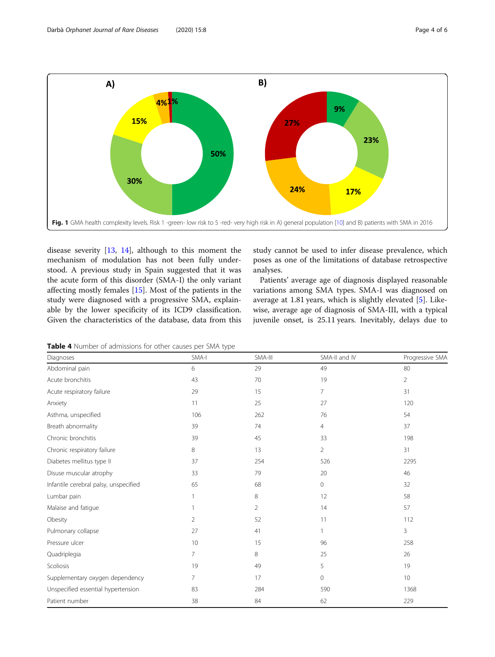<span id="page-3-0"></span>

disease severity [[13,](#page-5-0) [14](#page-5-0)], although to this moment the mechanism of modulation has not been fully understood. A previous study in Spain suggested that it was the acute form of this disorder (SMA-I) the only variant affecting mostly females [[15\]](#page-5-0). Most of the patients in the study were diagnosed with a progressive SMA, explainable by the lower specificity of its ICD9 classification. Given the characteristics of the database, data from this study cannot be used to infer disease prevalence, which poses as one of the limitations of database retrospective analyses.

Patients' average age of diagnosis displayed reasonable variations among SMA types. SMA-I was diagnosed on average at 1.81 years, which is slightly elevated [[5\]](#page-5-0). Likewise, average age of diagnosis of SMA-III, with a typical juvenile onset, is 25.11 years. Inevitably, delays due to

Table 4 Number of admissions for other causes per SMA type

| Diagnoses                             | SMA-I          | SMA-III        | SMA-II and IV  | Progressive SMA |
|---------------------------------------|----------------|----------------|----------------|-----------------|
| Abdominal pain                        | 6              | 29             | 49             | 80              |
| Acute bronchitis                      | 43             | 70             | 19             | $\overline{2}$  |
| Acute respiratory failure             | 29             | 15             | $\overline{7}$ | 31              |
| Anxiety                               | 11             | 25             | 27             | 120             |
| Asthma, unspecified                   | 106            | 262            | 76             | 54              |
| Breath abnormality                    | 39             | 74             | 4              | 37              |
| Chronic bronchitis                    | 39             | 45             | 33             | 198             |
| Chronic respiratory failure           | 8              | 13             | $\overline{2}$ | 31              |
| Diabetes mellitus type II             | 37             | 254            | 526            | 2295            |
| Disuse muscular atrophy               | 33             | 79             | 20             | 46              |
| Infantile cerebral palsy, unspecified | 65             | 68             | $\mathbf{0}$   | 32              |
| Lumbar pain                           | 1              | 8              | 12             | 58              |
| Malaise and fatique                   | 1              | $\overline{2}$ | 14             | 57              |
| Obesity                               | 2              | 52             | 11             | 112             |
| Pulmonary collapse                    | 27             | 41             | 1              | 3               |
| Pressure ulcer                        | 10             | 15             | 96             | 258             |
| Quadriplegia                          | 7              | 8              | 25             | 26              |
| Scoliosis                             | 19             | 49             | 5              | 19              |
| Supplementary oxygen dependency       | $\overline{7}$ | 17             | $\mathbf{0}$   | 10 <sup>°</sup> |
| Unspecified essential hypertension    | 83             | 284            | 590            | 1368            |
| Patient number                        | 38             | 84             | 62             | 229             |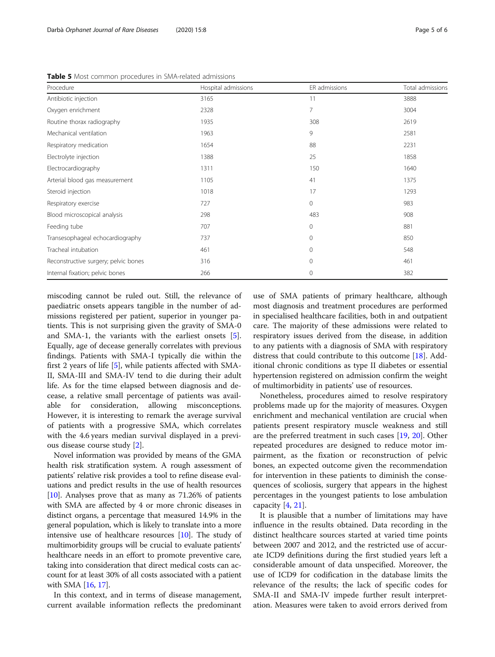<span id="page-4-0"></span>Table 5 Most common procedures in SMA-related admissions

| Procedure                            | Hospital admissions | ER admissions | Total admissions |  |
|--------------------------------------|---------------------|---------------|------------------|--|
| Antibiotic injection                 | 3165                | 11            | 3888             |  |
| Oxygen enrichment                    | 2328                | 7             | 3004             |  |
| Routine thorax radiography           | 1935                | 308           | 2619             |  |
| Mechanical ventilation               | 1963                | 9             | 2581             |  |
| Respiratory medication               | 1654                | 88            | 2231             |  |
| Electrolyte injection                | 1388                | 25            | 1858             |  |
| Electrocardiography                  | 1311                | 150           | 1640             |  |
| Arterial blood gas measurement       | 1105                | 41            | 1375             |  |
| Steroid injection                    | 1018                | 17            | 1293             |  |
| Respiratory exercise                 | 727                 | $\mathbf 0$   | 983              |  |
| Blood microscopical analysis         | 298                 | 483           | 908              |  |
| Feeding tube                         | 707                 | $\mathbf{0}$  | 881              |  |
| Transesophageal echocardiography     | 737                 | $\mathbf{0}$  | 850              |  |
| Tracheal intubation                  | 461                 | $\Omega$      | 548              |  |
| Reconstructive surgery; pelvic bones | 316                 | $\mathbf{0}$  | 461              |  |
| Internal fixation; pelvic bones      | 266                 | $\mathbf{0}$  | 382              |  |

miscoding cannot be ruled out. Still, the relevance of paediatric onsets appears tangible in the number of admissions registered per patient, superior in younger patients. This is not surprising given the gravity of SMA-0 and SMA-1, the variants with the earliest onsets [\[5](#page-5-0)]. Equally, age of decease generally correlates with previous findings. Patients with SMA-I typically die within the first 2 years of life [\[5\]](#page-5-0), while patients affected with SMA-II, SMA-III and SMA-IV tend to die during their adult life. As for the time elapsed between diagnosis and decease, a relative small percentage of patients was available for consideration, allowing misconceptions. However, it is interesting to remark the average survival of patients with a progressive SMA, which correlates with the 4.6 years median survival displayed in a previous disease course study [[2\]](#page-5-0).

Novel information was provided by means of the GMA health risk stratification system. A rough assessment of patients' relative risk provides a tool to refine disease evaluations and predict results in the use of health resources [[10](#page-5-0)]. Analyses prove that as many as 71.26% of patients with SMA are affected by 4 or more chronic diseases in distinct organs, a percentage that measured 14.9% in the general population, which is likely to translate into a more intensive use of healthcare resources  $[10]$ . The study of multimorbidity groups will be crucial to evaluate patients' healthcare needs in an effort to promote preventive care, taking into consideration that direct medical costs can account for at least 30% of all costs associated with a patient with SMA [\[16](#page-5-0), [17](#page-5-0)].

In this context, and in terms of disease management, current available information reflects the predominant

use of SMA patients of primary healthcare, although most diagnosis and treatment procedures are performed in specialised healthcare facilities, both in and outpatient care. The majority of these admissions were related to respiratory issues derived from the disease, in addition to any patients with a diagnosis of SMA with respiratory distress that could contribute to this outcome [\[18](#page-5-0)]. Additional chronic conditions as type II diabetes or essential hypertension registered on admission confirm the weight of multimorbidity in patients' use of resources.

Nonetheless, procedures aimed to resolve respiratory problems made up for the majority of measures. Oxygen enrichment and mechanical ventilation are crucial when patients present respiratory muscle weakness and still are the preferred treatment in such cases [[19,](#page-5-0) [20\]](#page-5-0). Other repeated procedures are designed to reduce motor impairment, as the fixation or reconstruction of pelvic bones, an expected outcome given the recommendation for intervention in these patients to diminish the consequences of scoliosis, surgery that appears in the highest percentages in the youngest patients to lose ambulation capacity [[4,](#page-5-0) [21\]](#page-5-0).

It is plausible that a number of limitations may have influence in the results obtained. Data recording in the distinct healthcare sources started at varied time points between 2007 and 2012, and the restricted use of accurate ICD9 definitions during the first studied years left a considerable amount of data unspecified. Moreover, the use of ICD9 for codification in the database limits the relevance of the results; the lack of specific codes for SMA-II and SMA-IV impede further result interpretation. Measures were taken to avoid errors derived from